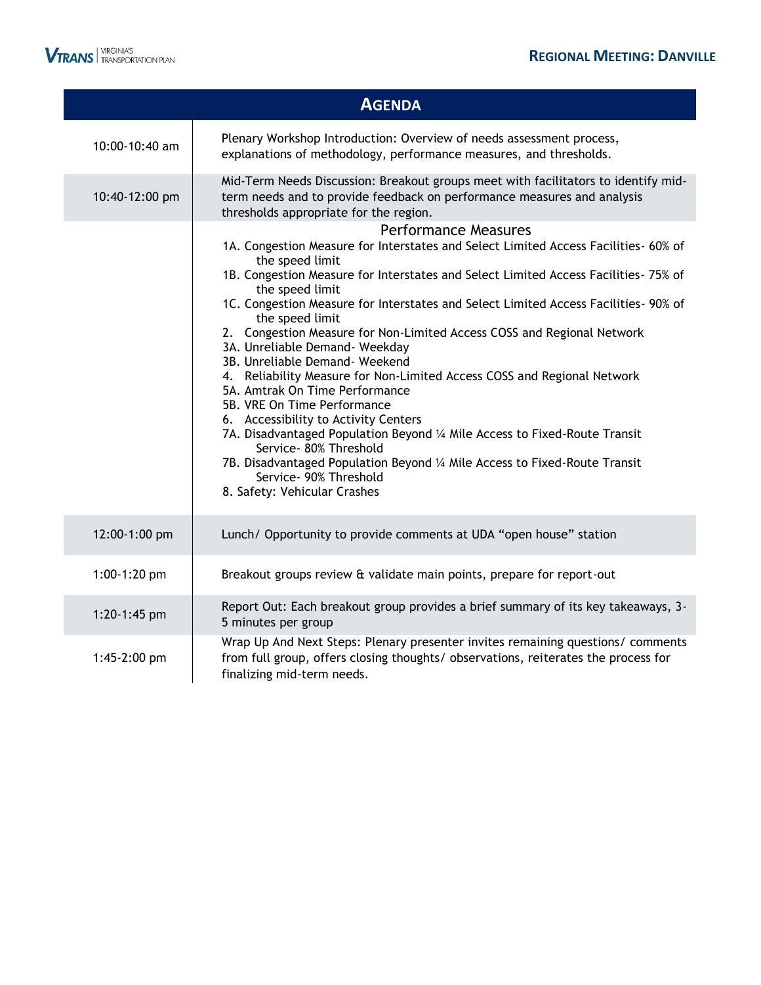I

|                | <b>AGENDA</b>                                                                                                                                                                                                                                                                                                                                                                                                                                                                                                                                                                                                                                                                                                                                                                                                                                                                                                                               |
|----------------|---------------------------------------------------------------------------------------------------------------------------------------------------------------------------------------------------------------------------------------------------------------------------------------------------------------------------------------------------------------------------------------------------------------------------------------------------------------------------------------------------------------------------------------------------------------------------------------------------------------------------------------------------------------------------------------------------------------------------------------------------------------------------------------------------------------------------------------------------------------------------------------------------------------------------------------------|
| 10:00-10:40 am | Plenary Workshop Introduction: Overview of needs assessment process,<br>explanations of methodology, performance measures, and thresholds.                                                                                                                                                                                                                                                                                                                                                                                                                                                                                                                                                                                                                                                                                                                                                                                                  |
| 10:40-12:00 pm | Mid-Term Needs Discussion: Breakout groups meet with facilitators to identify mid-<br>term needs and to provide feedback on performance measures and analysis<br>thresholds appropriate for the region.                                                                                                                                                                                                                                                                                                                                                                                                                                                                                                                                                                                                                                                                                                                                     |
|                | <b>Performance Measures</b><br>1A. Congestion Measure for Interstates and Select Limited Access Facilities- 60% of<br>the speed limit<br>1B. Congestion Measure for Interstates and Select Limited Access Facilities- 75% of<br>the speed limit<br>1C. Congestion Measure for Interstates and Select Limited Access Facilities- 90% of<br>the speed limit<br>2. Congestion Measure for Non-Limited Access COSS and Regional Network<br>3A. Unreliable Demand- Weekday<br>3B. Unreliable Demand- Weekend<br>4. Reliability Measure for Non-Limited Access COSS and Regional Network<br>5A. Amtrak On Time Performance<br>5B. VRE On Time Performance<br>6. Accessibility to Activity Centers<br>7A. Disadvantaged Population Beyond 1/4 Mile Access to Fixed-Route Transit<br>Service- 80% Threshold<br>7B. Disadvantaged Population Beyond 1/4 Mile Access to Fixed-Route Transit<br>Service- 90% Threshold<br>8. Safety: Vehicular Crashes |
| 12:00-1:00 pm  | Lunch/ Opportunity to provide comments at UDA "open house" station                                                                                                                                                                                                                                                                                                                                                                                                                                                                                                                                                                                                                                                                                                                                                                                                                                                                          |
| 1:00-1:20 pm   | Breakout groups review & validate main points, prepare for report-out                                                                                                                                                                                                                                                                                                                                                                                                                                                                                                                                                                                                                                                                                                                                                                                                                                                                       |
| 1:20-1:45 pm   | Report Out: Each breakout group provides a brief summary of its key takeaways, 3-<br>5 minutes per group                                                                                                                                                                                                                                                                                                                                                                                                                                                                                                                                                                                                                                                                                                                                                                                                                                    |
| 1:45-2:00 pm   | Wrap Up And Next Steps: Plenary presenter invites remaining questions/ comments<br>from full group, offers closing thoughts/observations, reiterates the process for<br>finalizing mid-term needs.                                                                                                                                                                                                                                                                                                                                                                                                                                                                                                                                                                                                                                                                                                                                          |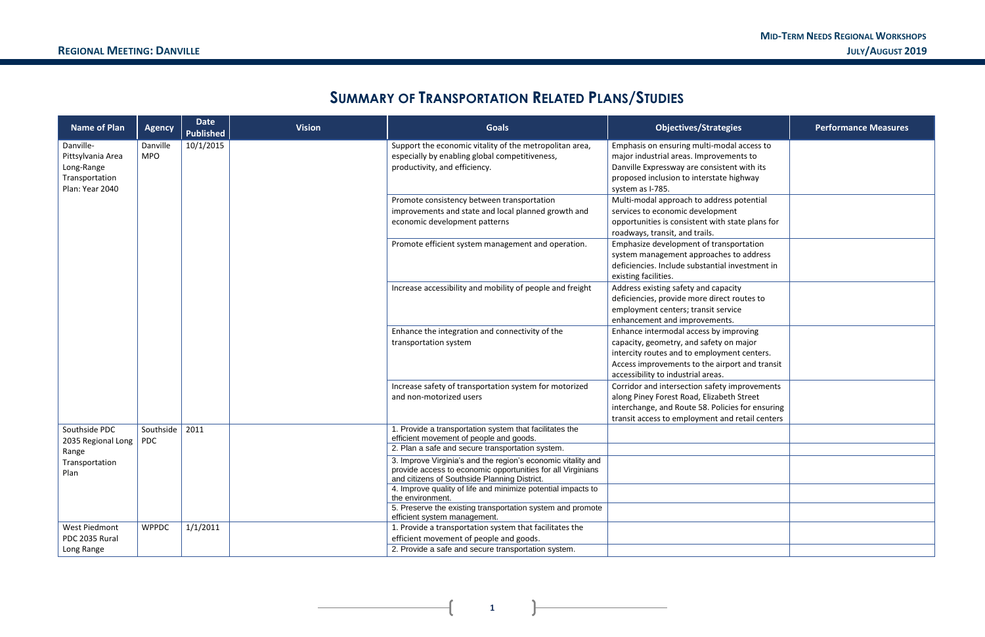#### **MID-TERM NEEDS REGIONAL WORKSHOPS REGIONAL MEETING: DANVILLE JULY/AUGUST 2019**

**1**

## **SUMMARY OF TRANSPORTATION RELATED PLANS/STUDIES**

| <b>Name of Plan</b>                                                               | <b>Agency</b>          | <b>Date</b><br><b>Published</b> | <b>Vision</b> | <b>Goals</b>                                                                                                                                              | <b>Objectives/Strategies</b>                                                                                                                                                                                             | <b>Performance Measures</b> |  |  |  |  |  |  |                                                                                                                                                                             |  |  |
|-----------------------------------------------------------------------------------|------------------------|---------------------------------|---------------|-----------------------------------------------------------------------------------------------------------------------------------------------------------|--------------------------------------------------------------------------------------------------------------------------------------------------------------------------------------------------------------------------|-----------------------------|--|--|--|--|--|--|-----------------------------------------------------------------------------------------------------------------------------------------------------------------------------|--|--|
| Danville-<br>Pittsylvania Area<br>Long-Range<br>Transportation<br>Plan: Year 2040 | Danville<br><b>MPO</b> | 10/1/2015                       |               | Support the economic vitality of the metropolitan area,<br>especially by enabling global competitiveness,<br>productivity, and efficiency.                | Emphasis on ensuring multi-modal access to<br>major industrial areas. Improvements to<br>Danville Expressway are consistent with its<br>proposed inclusion to interstate highway<br>system as I-785.                     |                             |  |  |  |  |  |  |                                                                                                                                                                             |  |  |
|                                                                                   |                        |                                 |               | Promote consistency between transportation<br>improvements and state and local planned growth and<br>economic development patterns                        | Multi-modal approach to address potential<br>services to economic development<br>opportunities is consistent with state plans for<br>roadways, transit, and trails.                                                      |                             |  |  |  |  |  |  |                                                                                                                                                                             |  |  |
|                                                                                   |                        |                                 |               | Promote efficient system management and operation.                                                                                                        | Emphasize development of transportation<br>system management approaches to address<br>deficiencies. Include substantial investment in<br>existing facilities.                                                            |                             |  |  |  |  |  |  |                                                                                                                                                                             |  |  |
|                                                                                   |                        |                                 |               | Increase accessibility and mobility of people and freight                                                                                                 | Address existing safety and capacity<br>deficiencies, provide more direct routes to<br>employment centers; transit service<br>enhancement and improvements.                                                              |                             |  |  |  |  |  |  |                                                                                                                                                                             |  |  |
|                                                                                   |                        |                                 |               | Enhance the integration and connectivity of the<br>transportation system                                                                                  | Enhance intermodal access by improving<br>capacity, geometry, and safety on major<br>intercity routes and to employment centers.<br>Access improvements to the airport and transit<br>accessibility to industrial areas. |                             |  |  |  |  |  |  |                                                                                                                                                                             |  |  |
|                                                                                   |                        |                                 |               | Increase safety of transportation system for motorized<br>and non-motorized users                                                                         | Corridor and intersection safety improvements<br>along Piney Forest Road, Elizabeth Street<br>interchange, and Route 58. Policies for ensuring<br>transit access to employment and retail centers                        |                             |  |  |  |  |  |  |                                                                                                                                                                             |  |  |
| Southside PDC<br>2035 Regional Long                                               | Southside<br>PDC       | 2011                            |               | 1. Provide a transportation system that facilitates the<br>efficient movement of people and goods.<br>2. Plan a safe and secure transportation system.    |                                                                                                                                                                                                                          |                             |  |  |  |  |  |  |                                                                                                                                                                             |  |  |
| Range<br>Transportation<br>Plan                                                   |                        |                                 |               |                                                                                                                                                           |                                                                                                                                                                                                                          |                             |  |  |  |  |  |  | 3. Improve Virginia's and the region's economic vitality and<br>provide access to economic opportunities for all Virginians<br>and citizens of Southside Planning District. |  |  |
|                                                                                   |                        |                                 |               | 4. Improve quality of life and minimize potential impacts to<br>the environment.                                                                          |                                                                                                                                                                                                                          |                             |  |  |  |  |  |  |                                                                                                                                                                             |  |  |
|                                                                                   |                        |                                 |               | 5. Preserve the existing transportation system and promote<br>efficient system management.                                                                |                                                                                                                                                                                                                          |                             |  |  |  |  |  |  |                                                                                                                                                                             |  |  |
| West Piedmont<br>PDC 2035 Rural<br>Long Range                                     | <b>WPPDC</b>           | 1/1/2011                        |               | 1. Provide a transportation system that facilitates the<br>efficient movement of people and goods.<br>2. Provide a safe and secure transportation system. |                                                                                                                                                                                                                          |                             |  |  |  |  |  |  |                                                                                                                                                                             |  |  |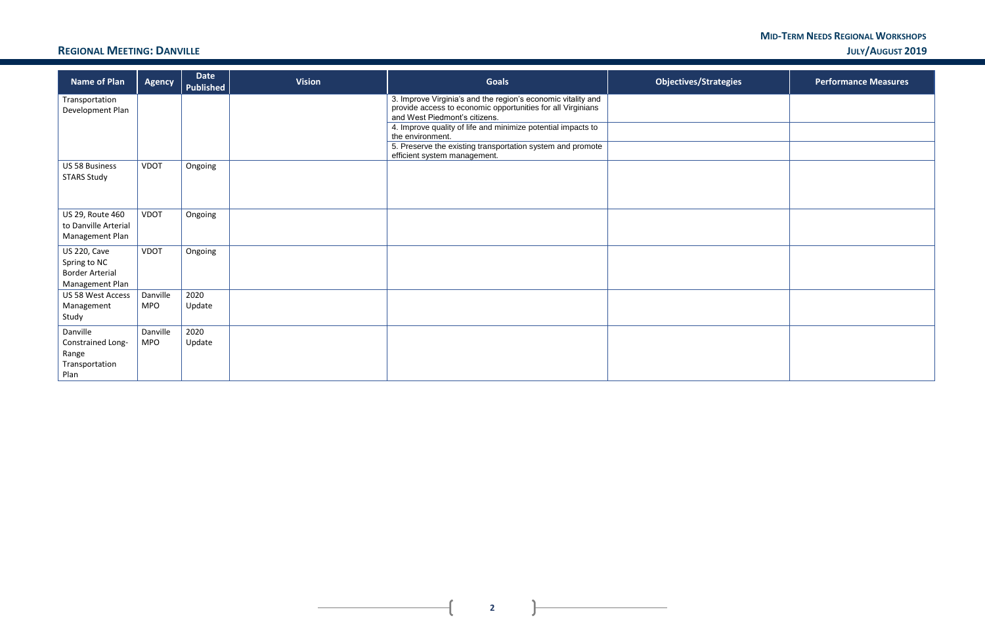#### **MID-TERM NEEDS REGIONAL WORKSHOPS REGIONAL MEETING: DANVILLE JULY/AUGUST 2019**

 $\mathbf{r}$ 

 $\overline{+}$ 

| <b>Name of Plan</b>                                                       | <b>Agency</b>          | <b>Date</b><br><b>Published</b> | <b>Vision</b> | <b>Goals</b>                                                                                                                                                 | <b>Objectives/Strategies</b> | <b>Performance Measures</b> |
|---------------------------------------------------------------------------|------------------------|---------------------------------|---------------|--------------------------------------------------------------------------------------------------------------------------------------------------------------|------------------------------|-----------------------------|
| Transportation<br>Development Plan                                        |                        |                                 |               | 3. Improve Virginia's and the region's economic vitality and<br>provide access to economic opportunities for all Virginians<br>and West Piedmont's citizens. |                              |                             |
|                                                                           |                        |                                 |               | 4. Improve quality of life and minimize potential impacts to<br>the environment.                                                                             |                              |                             |
|                                                                           |                        |                                 |               | 5. Preserve the existing transportation system and promote<br>efficient system management.                                                                   |                              |                             |
| <b>US 58 Business</b><br><b>STARS Study</b>                               | VDOT                   | Ongoing                         |               |                                                                                                                                                              |                              |                             |
| US 29, Route 460<br>to Danville Arterial<br>Management Plan               | VDOT                   | Ongoing                         |               |                                                                                                                                                              |                              |                             |
| US 220, Cave<br>Spring to NC<br><b>Border Arterial</b><br>Management Plan | VDOT                   | Ongoing                         |               |                                                                                                                                                              |                              |                             |
| <b>US 58 West Access</b>                                                  | Danville               | 2020                            |               |                                                                                                                                                              |                              |                             |
| Management<br>Study                                                       | <b>MPO</b>             | Update                          |               |                                                                                                                                                              |                              |                             |
| Danville<br>Constrained Long-                                             | Danville<br><b>MPO</b> | 2020<br>Update                  |               |                                                                                                                                                              |                              |                             |
| Range<br>Transportation<br>Plan                                           |                        |                                 |               |                                                                                                                                                              |                              |                             |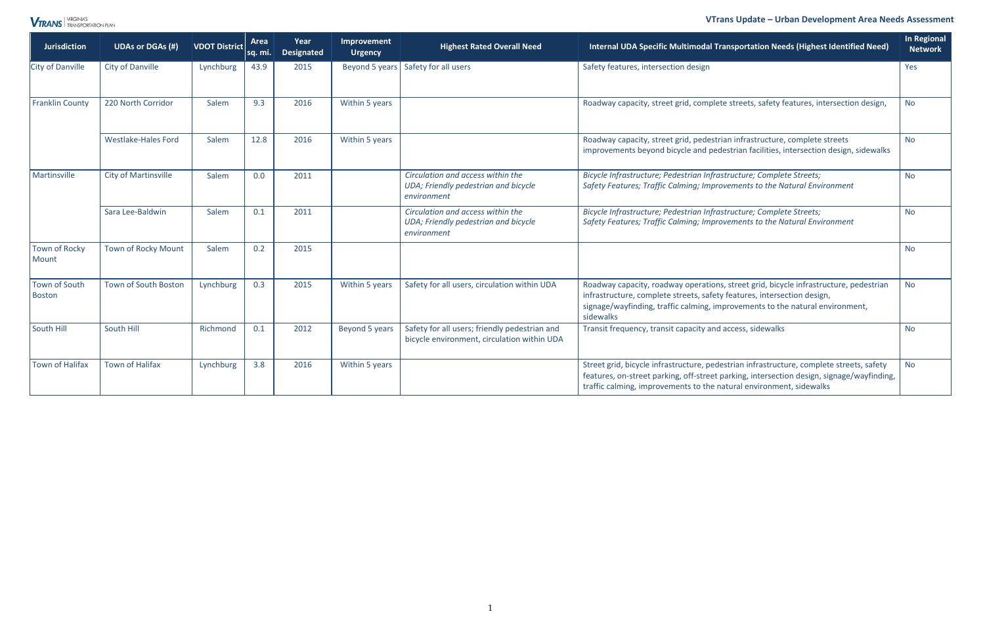#### **VTrans Update** *–* **Urban Development Area Needs Assessment**

|                                       | VTrans Update - Urban Development Area Needs Assessmen<br><b>VTRANS</b> TRANSPORTATION PLAN |           |      |      |                |                                                                                              |                                                                                                                                                                                                                                                                |                                   |                                                                                 |                               |  |  |  |
|---------------------------------------|---------------------------------------------------------------------------------------------|-----------|------|------|----------------|----------------------------------------------------------------------------------------------|----------------------------------------------------------------------------------------------------------------------------------------------------------------------------------------------------------------------------------------------------------------|-----------------------------------|---------------------------------------------------------------------------------|-------------------------------|--|--|--|
| <b>Jurisdiction</b>                   | Year<br>Area<br><b>UDAs or DGAs (#)</b><br><b>VDOT District</b><br>sq. mi.                  |           |      |      |                | <b>Designated</b>                                                                            | Improvement<br><b>Urgency</b>                                                                                                                                                                                                                                  | <b>Highest Rated Overall Need</b> | Internal UDA Specific Multimodal Transportation Needs (Highest Identified Need) | In Regional<br><b>Network</b> |  |  |  |
| <b>City of Danville</b>               | <b>City of Danville</b>                                                                     | Lynchburg | 43.9 | 2015 | Beyond 5 years | Safety for all users                                                                         | Safety features, intersection design                                                                                                                                                                                                                           | Yes                               |                                                                                 |                               |  |  |  |
| <b>Franklin County</b>                | 220 North Corridor                                                                          | Salem     | 9.3  | 2016 | Within 5 years |                                                                                              | Roadway capacity, street grid, complete streets, safety features, intersection design,                                                                                                                                                                         | <b>No</b>                         |                                                                                 |                               |  |  |  |
|                                       | <b>Westlake-Hales Ford</b>                                                                  | Salem     | 12.8 | 2016 | Within 5 years |                                                                                              | Roadway capacity, street grid, pedestrian infrastructure, complete streets<br>improvements beyond bicycle and pedestrian facilities, intersection design, sidewalks                                                                                            | <b>No</b>                         |                                                                                 |                               |  |  |  |
| Martinsville                          | <b>City of Martinsville</b>                                                                 | Salem     | 0.0  | 2011 |                | Circulation and access within the<br>UDA; Friendly pedestrian and bicycle<br>environment     | Bicycle Infrastructure; Pedestrian Infrastructure; Complete Streets;<br>Safety Features; Traffic Calming; Improvements to the Natural Environment                                                                                                              | <b>No</b>                         |                                                                                 |                               |  |  |  |
|                                       | Sara Lee-Baldwin                                                                            | Salem     | 0.1  | 2011 |                | Circulation and access within the<br>UDA; Friendly pedestrian and bicycle<br>environment     | Bicycle Infrastructure; Pedestrian Infrastructure; Complete Streets;<br>Safety Features; Traffic Calming; Improvements to the Natural Environment                                                                                                              | <b>No</b>                         |                                                                                 |                               |  |  |  |
| <b>Town of Rocky</b><br>Mount         | <b>Town of Rocky Mount</b>                                                                  | Salem     | 0.2  | 2015 |                |                                                                                              |                                                                                                                                                                                                                                                                | <b>No</b>                         |                                                                                 |                               |  |  |  |
| <b>Town of South</b><br><b>Boston</b> | <b>Town of South Boston</b>                                                                 | Lynchburg | 0.3  | 2015 | Within 5 years | Safety for all users, circulation within UDA                                                 | Roadway capacity, roadway operations, street grid, bicycle infrastructure, pedestrian<br>infrastructure, complete streets, safety features, intersection design,<br>signage/wayfinding, traffic calming, improvements to the natural environment,<br>sidewalks | <b>No</b>                         |                                                                                 |                               |  |  |  |
| South Hill                            | South Hill                                                                                  | Richmond  | 0.1  | 2012 | Beyond 5 years | Safety for all users; friendly pedestrian and<br>bicycle environment, circulation within UDA | Transit frequency, transit capacity and access, sidewalks                                                                                                                                                                                                      | <b>No</b>                         |                                                                                 |                               |  |  |  |
| <b>Town of Halifax</b>                | <b>Town of Halifax</b>                                                                      | Lynchburg | 3.8  | 2016 | Within 5 years |                                                                                              | Street grid, bicycle infrastructure, pedestrian infrastructure, complete streets, safety<br>features, on-street parking, off-street parking, intersection design, signage/wayfinding,<br>traffic calming, improvements to the natural environment, sidewalks   | <b>No</b>                         |                                                                                 |                               |  |  |  |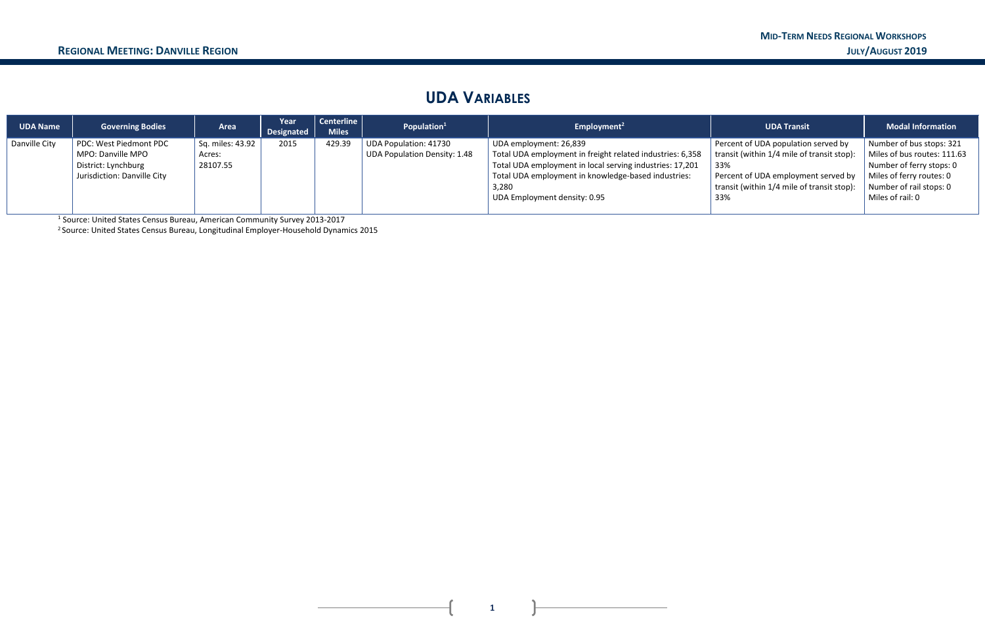**1**

### **UDA VARIABLES**

| <b>UDA Name</b> | <b>Governing Bodies</b>     | Area             | Year<br>Designated | Centerline<br><b>Miles</b> | Population <sup>1</sup>             | Employment <sup>2</sup>                                   | <b>UDA Transit</b>                         | <b>Modal Information</b>    |
|-----------------|-----------------------------|------------------|--------------------|----------------------------|-------------------------------------|-----------------------------------------------------------|--------------------------------------------|-----------------------------|
| Danville City   | PDC: West Piedmont PDC      | Sq. miles: 43.92 | 2015               | 429.39                     | <b>UDA Population: 41730</b>        | UDA employment: 26,839                                    | Percent of UDA population served by        | Number of bus stops: 321    |
|                 | MPO: Danville MPO           | Acres:           |                    |                            | <b>UDA Population Density: 1.48</b> | Total UDA employment in freight related industries: 6,358 | transit (within 1/4 mile of transit stop): | Miles of bus routes: 111.63 |
|                 | District: Lynchburg         | 28107.55         |                    |                            |                                     | Total UDA employment in local serving industries: 17,201  | $33\%$                                     | Number of ferry stops: 0    |
|                 | Jurisdiction: Danville City |                  |                    |                            |                                     | Total UDA employment in knowledge-based industries:       | Percent of UDA employment served by        | Miles of ferry routes: 0    |
|                 |                             |                  |                    |                            |                                     | 3,280                                                     | transit (within 1/4 mile of transit stop): | Number of rail stops: 0     |
|                 |                             |                  |                    |                            |                                     | UDA Employment density: 0.95                              | 33%                                        | Miles of rail: 0            |
|                 |                             |                  |                    |                            |                                     |                                                           |                                            |                             |

<sup>1</sup> Source: United States Census Bureau, American Community Survey 2013-2017

<sup>2</sup> Source: United States Census Bureau, Longitudinal Employer-Household Dynamics 2015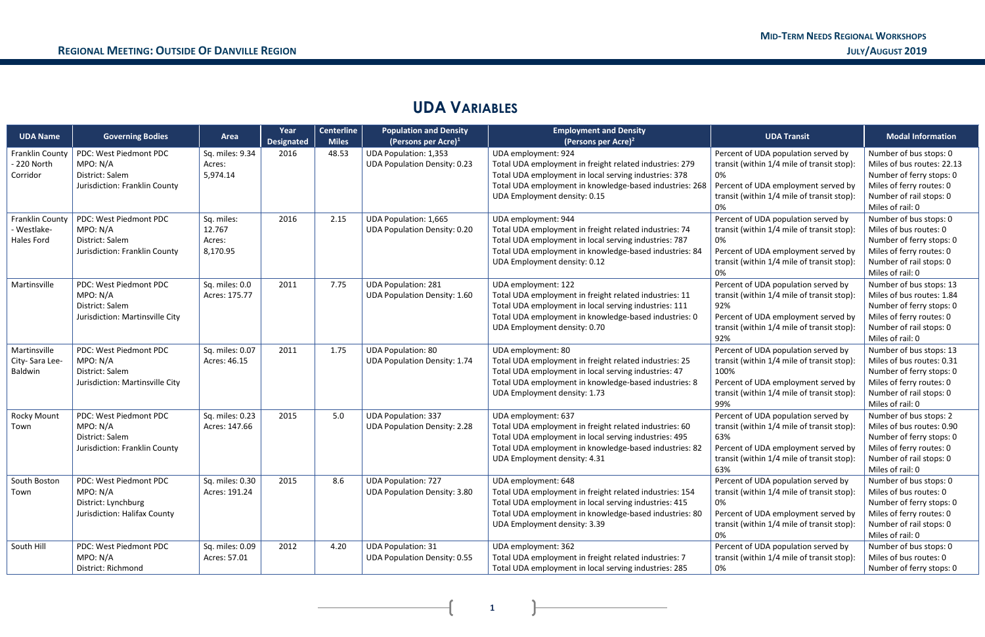$\mathbf{I}$ 

### **UDA VARIABLES**

| <b>UDA Name</b>                                     | <b>Governing Bodies</b>                                                                   | Area                                       | Year<br><b>Designated</b> | <b>Centerline</b><br><b>Miles</b> | <b>Population and Density</b><br>(Persons per Acre) $1$             | <b>Employment and Density</b><br>(Persons per Acre) <sup>2</sup>                                                                                                                                                                   | <b>UDA Transit</b>                                                                                                                                                                    | <b>Modal Information</b>                                                                                                                                    |
|-----------------------------------------------------|-------------------------------------------------------------------------------------------|--------------------------------------------|---------------------------|-----------------------------------|---------------------------------------------------------------------|------------------------------------------------------------------------------------------------------------------------------------------------------------------------------------------------------------------------------------|---------------------------------------------------------------------------------------------------------------------------------------------------------------------------------------|-------------------------------------------------------------------------------------------------------------------------------------------------------------|
| <b>Franklin County</b><br>- 220 North<br>Corridor   | PDC: West Piedmont PDC<br>MPO: N/A<br>District: Salem<br>Jurisdiction: Franklin County    | Sq. miles: 9.34<br>Acres:<br>5,974.14      | 2016                      | 48.53                             | <b>UDA Population: 1,353</b><br><b>UDA Population Density: 0.23</b> | UDA employment: 924<br>Total UDA employment in freight related industries: 279<br>Total UDA employment in local serving industries: 378<br>Total UDA employment in knowledge-based industries: 268<br>UDA Employment density: 0.15 | Percent of UDA population served by<br>transit (within 1/4 mile of transit stop):<br>0%<br>Percent of UDA employment served by<br>transit (within 1/4 mile of transit stop):          | Number of bus stops: 0<br>Miles of bus routes: 22.13<br>Number of ferry stops: 0<br>Miles of ferry routes: 0<br>Number of rail stops: 0<br>Miles of rail: 0 |
| <b>Franklin County</b><br>- Westlake-<br>Hales Ford | PDC: West Piedmont PDC<br>MPO: N/A<br>District: Salem<br>Jurisdiction: Franklin County    | Sq. miles:<br>12.767<br>Acres:<br>8,170.95 | 2016                      | 2.15                              | <b>UDA Population: 1,665</b><br><b>UDA Population Density: 0.20</b> | UDA employment: 944<br>Total UDA employment in freight related industries: 74<br>Total UDA employment in local serving industries: 787<br>Total UDA employment in knowledge-based industries: 84<br>UDA Employment density: 0.12   | Percent of UDA population served by<br>transit (within 1/4 mile of transit stop):<br>0%<br>Percent of UDA employment served by<br>transit (within 1/4 mile of transit stop):<br>0%    | Number of bus stops: 0<br>Miles of bus routes: 0<br>Number of ferry stops: 0<br>Miles of ferry routes: 0<br>Number of rail stops: 0<br>Miles of rail: 0     |
| Martinsville                                        | PDC: West Piedmont PDC<br>MPO: N/A<br>District: Salem<br>Jurisdiction: Martinsville City  | Sq. miles: 0.0<br>Acres: 175.77            | 2011                      | 7.75                              | <b>UDA Population: 281</b><br><b>UDA Population Density: 1.60</b>   | UDA employment: 122<br>Total UDA employment in freight related industries: 11<br>Total UDA employment in local serving industries: 111<br>Total UDA employment in knowledge-based industries: 0<br>UDA Employment density: 0.70    | Percent of UDA population served by<br>transit (within 1/4 mile of transit stop):<br>92%<br>Percent of UDA employment served by<br>transit (within 1/4 mile of transit stop):<br>92%  | Number of bus stops: 13<br>Miles of bus routes: 1.84<br>Number of ferry stops: 0<br>Miles of ferry routes: 0<br>Number of rail stops: 0<br>Miles of rail: 0 |
| Martinsville<br>City-Sara Lee-<br>Baldwin           | PDC: West Piedmont PDC<br>MPO: N/A<br>District: Salem<br>Jurisdiction: Martinsville City  | Sq. miles: 0.07<br>Acres: 46.15            | 2011                      | 1.75                              | <b>UDA Population: 80</b><br><b>UDA Population Density: 1.74</b>    | UDA employment: 80<br>Total UDA employment in freight related industries: 25<br>Total UDA employment in local serving industries: 47<br>Total UDA employment in knowledge-based industries: 8<br>UDA Employment density: 1.73      | Percent of UDA population served by<br>transit (within 1/4 mile of transit stop):<br>100%<br>Percent of UDA employment served by<br>transit (within 1/4 mile of transit stop):<br>99% | Number of bus stops: 13<br>Miles of bus routes: 0.31<br>Number of ferry stops: 0<br>Miles of ferry routes: 0<br>Number of rail stops: 0<br>Miles of rail: 0 |
| <b>Rocky Mount</b><br>Town                          | PDC: West Piedmont PDC<br>MPO: N/A<br>District: Salem<br>Jurisdiction: Franklin County    | Sq. miles: 0.23<br>Acres: 147.66           | 2015                      | 5.0                               | <b>UDA Population: 337</b><br><b>UDA Population Density: 2.28</b>   | UDA employment: 637<br>Total UDA employment in freight related industries: 60<br>Total UDA employment in local serving industries: 495<br>Total UDA employment in knowledge-based industries: 82<br>UDA Employment density: 4.31   | Percent of UDA population served by<br>transit (within 1/4 mile of transit stop):<br>63%<br>Percent of UDA employment served by<br>transit (within 1/4 mile of transit stop):<br>63%  | Number of bus stops: 2<br>Miles of bus routes: 0.90<br>Number of ferry stops: 0<br>Miles of ferry routes: 0<br>Number of rail stops: 0<br>Miles of rail: 0  |
| South Boston<br>Town                                | PDC: West Piedmont PDC<br>MPO: N/A<br>District: Lynchburg<br>Jurisdiction: Halifax County | Sq. miles: 0.30<br>Acres: 191.24           | 2015                      | 8.6                               | <b>UDA Population: 727</b><br><b>UDA Population Density: 3.80</b>   | UDA employment: 648<br>Total UDA employment in freight related industries: 154<br>Total UDA employment in local serving industries: 415<br>Total UDA employment in knowledge-based industries: 80<br>UDA Employment density: 3.39  | Percent of UDA population served by<br>transit (within 1/4 mile of transit stop):<br>0%<br>Percent of UDA employment served by<br>transit (within 1/4 mile of transit stop):<br>0%    | Number of bus stops: 0<br>Miles of bus routes: 0<br>Number of ferry stops: 0<br>Miles of ferry routes: 0<br>Number of rail stops: 0<br>Miles of rail: 0     |
| South Hill                                          | PDC: West Piedmont PDC<br>MPO: N/A<br>District: Richmond                                  | Sq. miles: 0.09<br>Acres: 57.01            | 2012                      | 4.20                              | <b>UDA Population: 31</b><br>UDA Population Density: 0.55           | UDA employment: 362<br>Total UDA employment in freight related industries: 7<br>Total UDA employment in local serving industries: 285                                                                                              | Percent of UDA population served by<br>transit (within 1/4 mile of transit stop):<br>0%                                                                                               | Number of bus stops: 0<br>Miles of bus routes: 0<br>Number of ferry stops: 0                                                                                |